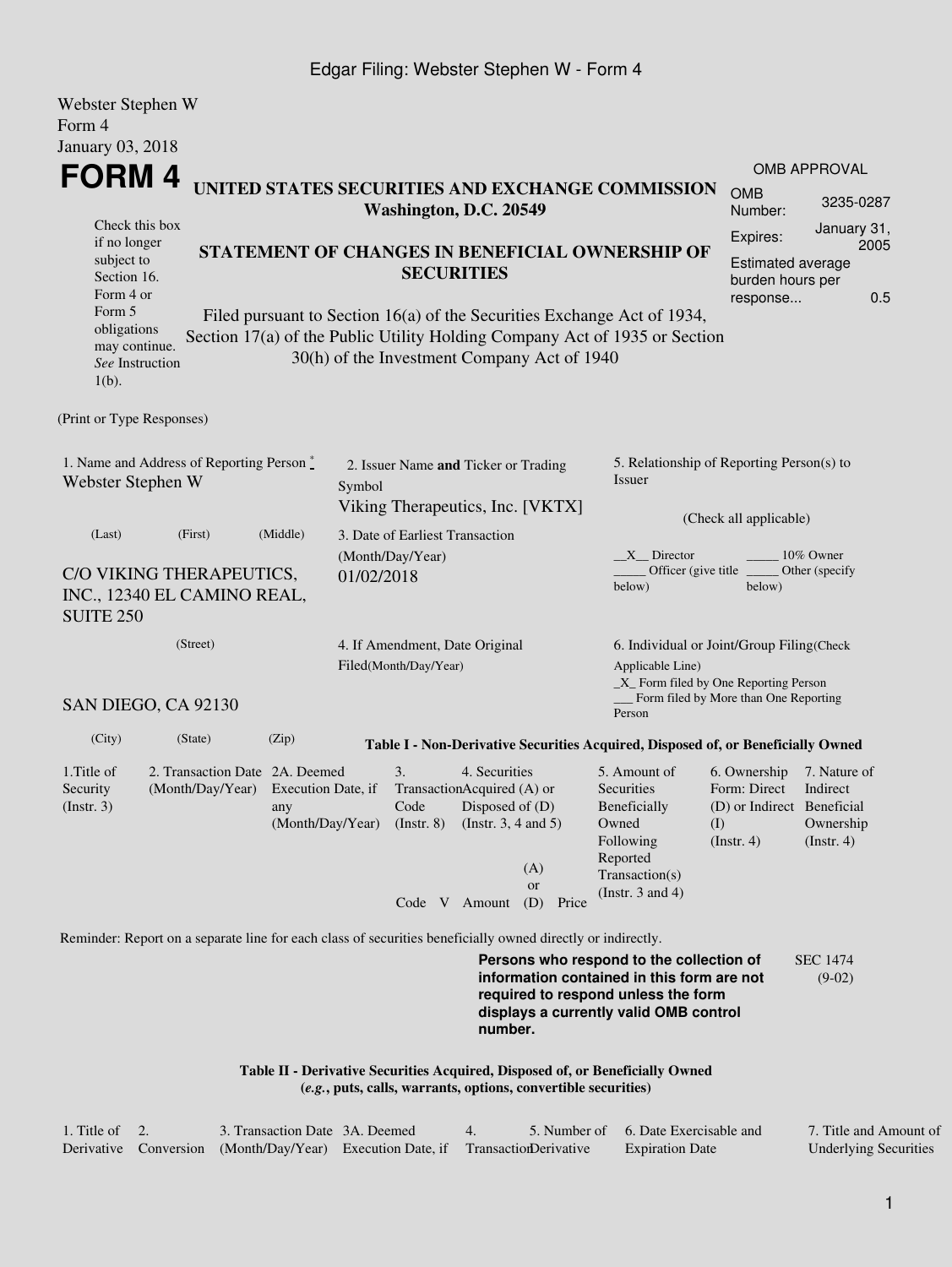## Edgar Filing: Webster Stephen W - Form 4

| Webster Stephen W<br>Form 4                                                                                                                                                        |                                                                                                                                                 |                                    |                                                                                    |                                                                                                                                                            |                                                                |                                                                |                                                                                                                         |                                                                                 |                                                      |  |
|------------------------------------------------------------------------------------------------------------------------------------------------------------------------------------|-------------------------------------------------------------------------------------------------------------------------------------------------|------------------------------------|------------------------------------------------------------------------------------|------------------------------------------------------------------------------------------------------------------------------------------------------------|----------------------------------------------------------------|----------------------------------------------------------------|-------------------------------------------------------------------------------------------------------------------------|---------------------------------------------------------------------------------|------------------------------------------------------|--|
| January 03, 2018                                                                                                                                                                   |                                                                                                                                                 |                                    |                                                                                    |                                                                                                                                                            |                                                                |                                                                |                                                                                                                         |                                                                                 |                                                      |  |
| FORM 4                                                                                                                                                                             |                                                                                                                                                 |                                    |                                                                                    |                                                                                                                                                            |                                                                |                                                                | UNITED STATES SECURITIES AND EXCHANGE COMMISSION                                                                        | <b>OMB</b>                                                                      | <b>OMB APPROVAL</b>                                  |  |
| Washington, D.C. 20549<br>Check this box                                                                                                                                           |                                                                                                                                                 |                                    |                                                                                    |                                                                                                                                                            |                                                                |                                                                |                                                                                                                         |                                                                                 | 3235-0287                                            |  |
| if no longer<br>subject to<br>Section 16.<br>Form 4 or<br>Form 5                                                                                                                   | STATEMENT OF CHANGES IN BENEFICIAL OWNERSHIP OF<br><b>SECURITIES</b><br>Filed pursuant to Section 16(a) of the Securities Exchange Act of 1934, |                                    |                                                                                    |                                                                                                                                                            |                                                                | Expires:<br>Estimated average<br>burden hours per<br>response  | January 31,<br>2005<br>0.5                                                                                              |                                                                                 |                                                      |  |
| obligations<br>may continue.<br>See Instruction<br>$1(b)$ .                                                                                                                        |                                                                                                                                                 |                                    |                                                                                    |                                                                                                                                                            |                                                                | 30(h) of the Investment Company Act of 1940                    | Section 17(a) of the Public Utility Holding Company Act of 1935 or Section                                              |                                                                                 |                                                      |  |
| (Print or Type Responses)                                                                                                                                                          |                                                                                                                                                 |                                    |                                                                                    |                                                                                                                                                            |                                                                |                                                                |                                                                                                                         |                                                                                 |                                                      |  |
| 1. Name and Address of Reporting Person*<br>Webster Stephen W                                                                                                                      |                                                                                                                                                 |                                    | 2. Issuer Name and Ticker or Trading<br>Symbol<br>Viking Therapeutics, Inc. [VKTX] |                                                                                                                                                            |                                                                |                                                                | 5. Relationship of Reporting Person(s) to<br>Issuer                                                                     |                                                                                 |                                                      |  |
| (Last)                                                                                                                                                                             | (First)                                                                                                                                         | (Middle)                           |                                                                                    |                                                                                                                                                            |                                                                |                                                                |                                                                                                                         | (Check all applicable)                                                          |                                                      |  |
| C/O VIKING THERAPEUTICS,<br>INC., 12340 EL CAMINO REAL,<br><b>SUITE 250</b>                                                                                                        | 3. Date of Earliest Transaction<br>(Month/Day/Year)<br>01/02/2018                                                                               |                                    |                                                                                    | X Director<br>10% Owner<br>Officer (give title)<br>Other (specify)<br>below)<br>below)                                                                     |                                                                |                                                                |                                                                                                                         |                                                                                 |                                                      |  |
| (Street)<br>SAN DIEGO, CA 92130                                                                                                                                                    | 4. If Amendment, Date Original<br>Filed(Month/Day/Year)                                                                                         |                                    |                                                                                    | 6. Individual or Joint/Group Filing(Check<br>Applicable Line)<br>_X_ Form filed by One Reporting Person<br>Form filed by More than One Reporting<br>Person |                                                                |                                                                |                                                                                                                         |                                                                                 |                                                      |  |
| (City)                                                                                                                                                                             | (State)                                                                                                                                         | (Zip)                              |                                                                                    |                                                                                                                                                            |                                                                |                                                                | Table I - Non-Derivative Securities Acquired, Disposed of, or Beneficially Owned                                        |                                                                                 |                                                      |  |
| 1. Title of<br>Security<br>(Insert. 3)                                                                                                                                             | 2. Transaction Date 2A. Deemed<br>(Month/Day/Year) Execution Date, if                                                                           | any<br>(Month/Day/Year) (Instr. 8) |                                                                                    | 3.<br>TransactionAcquired (A) or<br>Code<br>Code V Amount                                                                                                  | 4. Securities<br>Disposed of $(D)$<br>(Instr. $3, 4$ and $5$ ) | (A)<br><b>or</b><br>(D) Price                                  | 5. Amount of<br>Securities<br>Beneficially<br>Owned<br>Following<br>Reported<br>Transaction(s)<br>(Instr. $3$ and $4$ ) | 6. Ownership<br>Form: Direct<br>(D) or Indirect Beneficial<br>(I)<br>(Instr. 4) | 7. Nature of<br>Indirect<br>Ownership<br>(Insert. 4) |  |
| Reminder: Report on a separate line for each class of securities beneficially owned directly or indirectly.                                                                        |                                                                                                                                                 |                                    |                                                                                    |                                                                                                                                                            |                                                                |                                                                |                                                                                                                         |                                                                                 |                                                      |  |
| Persons who respond to the collection of<br>information contained in this form are not<br>required to respond unless the form<br>displays a currently valid OMB control<br>number. |                                                                                                                                                 |                                    |                                                                                    |                                                                                                                                                            |                                                                |                                                                |                                                                                                                         |                                                                                 | <b>SEC 1474</b><br>$(9-02)$                          |  |
|                                                                                                                                                                                    |                                                                                                                                                 |                                    |                                                                                    |                                                                                                                                                            |                                                                | (e.g., puts, calls, warrants, options, convertible securities) | Table II - Derivative Securities Acquired, Disposed of, or Beneficially Owned                                           |                                                                                 |                                                      |  |

| 1. Title of $\,$ 2. | 3. Transaction Date 3A, Deemed                                                   |  | 5. Number of 6. Date Exercisable and | 7. Title and Amount of       |  |
|---------------------|----------------------------------------------------------------------------------|--|--------------------------------------|------------------------------|--|
|                     | Derivative Conversion (Month/Day/Year) Execution Date, if Transaction Derivative |  | <b>Expiration Date</b>               | <b>Underlying Securities</b> |  |